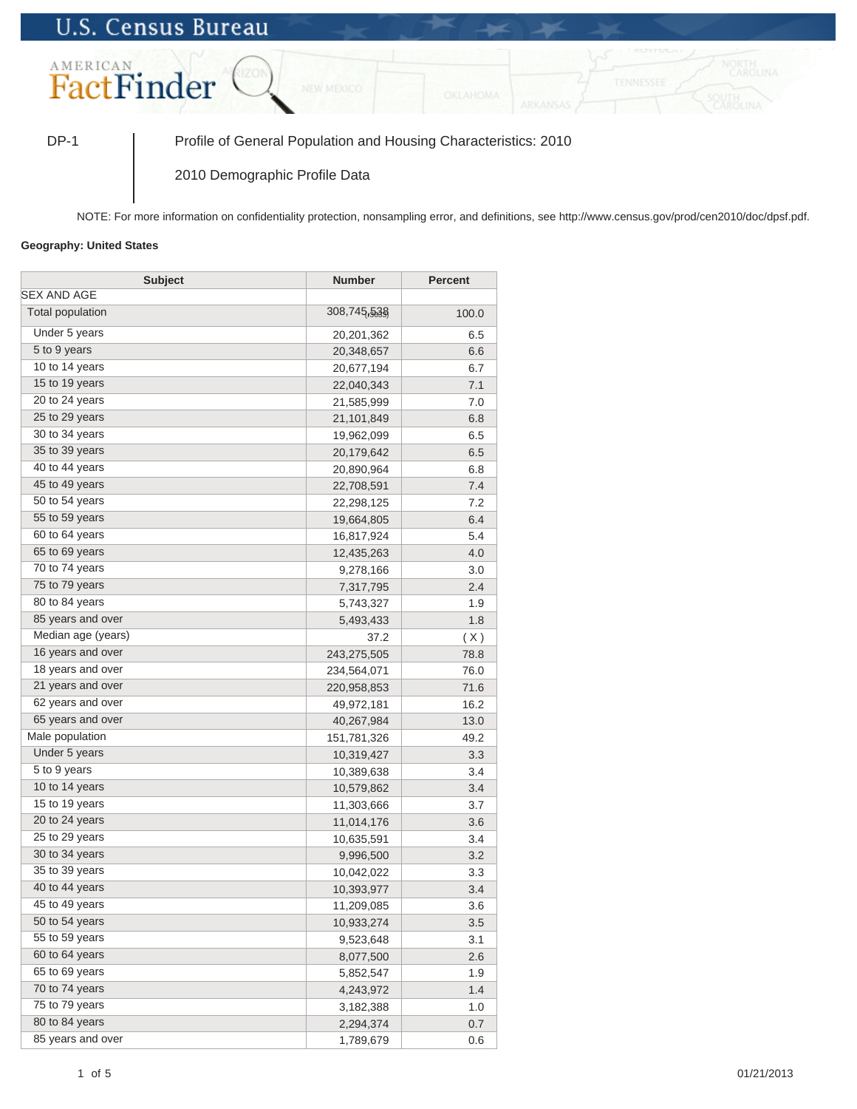## **U.S. Census Bureau**



DP-1 Profile of General Population and Housing Characteristics: 2010

2010 Demographic Profile Data

NOTE: For more information on confidentiality protection, nonsampling error, and definitions, see http://www.census.gov/prod/cen2010/doc/dpsf.pdf.

## **Geography: United States**

| <b>Subject</b>          | Number      | <b>Percent</b> |
|-------------------------|-------------|----------------|
| <b>SEX AND AGE</b>      |             |                |
| <b>Total population</b> | 308,745,538 | 100.0          |
| Under 5 years           | 20,201,362  | 6.5            |
| 5 to 9 years            | 20,348,657  | 6.6            |
| 10 to 14 years          | 20,677,194  | 6.7            |
| 15 to 19 years          | 22,040,343  | 7.1            |
| 20 to 24 years          | 21,585,999  | 7.0            |
| 25 to 29 years          | 21,101,849  | 6.8            |
| 30 to 34 years          | 19,962,099  | 6.5            |
| 35 to 39 years          | 20,179,642  | 6.5            |
| 40 to 44 years          | 20,890,964  | 6.8            |
| 45 to 49 years          | 22,708,591  | 7.4            |
| 50 to 54 years          | 22,298,125  | 7.2            |
| 55 to 59 years          | 19,664,805  | 6.4            |
| 60 to 64 years          | 16,817,924  | 5.4            |
| 65 to 69 years          | 12,435,263  | 4.0            |
| 70 to 74 years          | 9,278,166   | 3.0            |
| 75 to 79 years          | 7,317,795   | 2.4            |
| 80 to 84 years          | 5,743,327   | 1.9            |
| 85 years and over       | 5,493,433   | 1.8            |
| Median age (years)      | 37.2        | (X)            |
| 16 years and over       | 243,275,505 | 78.8           |
| 18 years and over       | 234,564,071 | 76.0           |
| 21 years and over       | 220,958,853 | 71.6           |
| 62 years and over       | 49,972,181  | 16.2           |
| 65 years and over       | 40,267,984  | 13.0           |
| Male population         | 151,781,326 | 49.2           |
| Under 5 years           | 10,319,427  | 3.3            |
| 5 to 9 years            | 10,389,638  | 3.4            |
| 10 to 14 years          | 10,579,862  | 3.4            |
| 15 to 19 years          | 11,303,666  | 3.7            |
| 20 to 24 years          | 11,014,176  | 3.6            |
| 25 to 29 years          | 10,635,591  | 3.4            |
| 30 to 34 years          | 9,996,500   | 3.2            |
| 35 to 39 years          | 10,042,022  | 3.3            |
| 40 to 44 years          | 10,393,977  | 3.4            |
| 45 to 49 years          | 11,209,085  | 3.6            |
| 50 to 54 years          | 10,933,274  | 3.5            |
| 55 to 59 years          | 9,523,648   | 3.1            |
| 60 to 64 years          | 8,077,500   | 2.6            |
| 65 to 69 years          | 5,852,547   | 1.9            |
| 70 to 74 years          | 4,243,972   | 1.4            |
| 75 to 79 years          | 3,182,388   | 1.0            |
| 80 to 84 years          | 2,294,374   | 0.7            |
| 85 years and over       | 1,789,679   | 0.6            |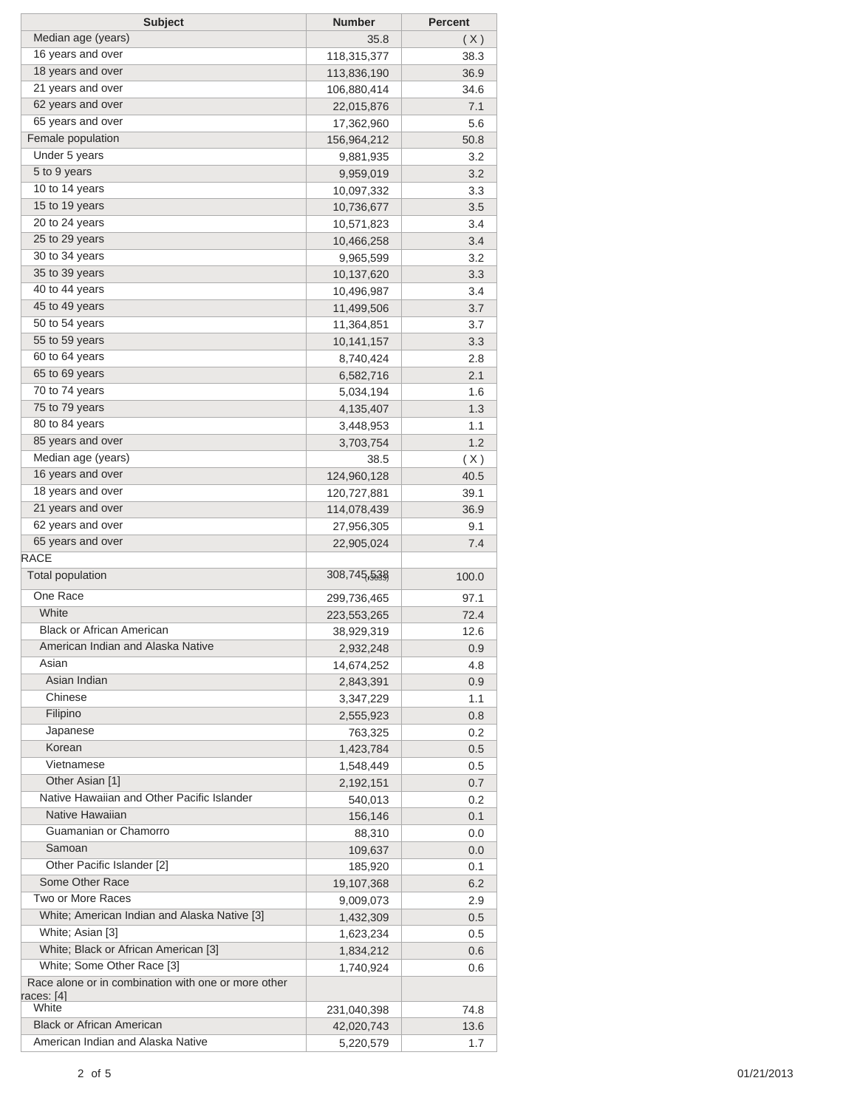| <b>Subject</b>                                                    | <b>Number</b> | <b>Percent</b> |
|-------------------------------------------------------------------|---------------|----------------|
| Median age (years)                                                | 35.8          | (X)            |
| 16 years and over                                                 | 118,315,377   | 38.3           |
| 18 years and over                                                 | 113,836,190   | 36.9           |
| 21 years and over                                                 | 106,880,414   | 34.6           |
| 62 years and over                                                 | 22,015,876    | 7.1            |
| 65 years and over                                                 | 17,362,960    | 5.6            |
| Female population                                                 | 156,964,212   | 50.8           |
| Under 5 years                                                     | 9,881,935     | 3.2            |
| 5 to 9 years                                                      | 9,959,019     | 3.2            |
| 10 to 14 years                                                    | 10,097,332    | 3.3            |
| 15 to 19 years                                                    | 10,736,677    | 3.5            |
| 20 to 24 years                                                    | 10,571,823    | 3.4            |
| 25 to 29 years                                                    | 10,466,258    | 3.4            |
| 30 to 34 years                                                    | 9,965,599     | 3.2            |
| 35 to 39 years                                                    | 10,137,620    | 3.3            |
| 40 to 44 years                                                    | 10,496,987    | 3.4            |
| 45 to 49 years                                                    | 11,499,506    | 3.7            |
| 50 to 54 years                                                    | 11,364,851    | 3.7            |
| 55 to 59 years                                                    | 10,141,157    | 3.3            |
| 60 to 64 years                                                    | 8,740,424     | 2.8            |
| 65 to 69 years                                                    | 6,582,716     | 2.1            |
| 70 to 74 years                                                    | 5,034,194     | 1.6            |
| 75 to 79 years                                                    | 4,135,407     | 1.3            |
| 80 to 84 years                                                    | 3,448,953     | 1.1            |
| 85 years and over                                                 | 3,703,754     | 1.2            |
| Median age (years)                                                | 38.5          | (X)            |
| 16 years and over                                                 | 124,960,128   | 40.5           |
| 18 years and over                                                 | 120,727,881   | 39.1           |
| 21 years and over                                                 | 114,078,439   | 36.9           |
| 62 years and over                                                 | 27,956,305    | 9.1            |
| 65 years and over                                                 | 22,905,024    | 7.4            |
| <b>RACE</b>                                                       |               |                |
| Total population                                                  | 308,745,538   | 100.0          |
| One Race                                                          |               |                |
| White                                                             | 299,736,465   | 97.1           |
| <b>Black or African American</b>                                  | 223,553,265   | 72.4           |
|                                                                   | 38,929,319    | 12.6           |
| American Indian and Alaska Native<br>Asian                        | 2,932,248     | 0.9            |
| Asian Indian                                                      | 14,674,252    | 4.8            |
| Chinese                                                           | 2,843,391     | 0.9            |
|                                                                   | 3,347,229     | 1.1            |
| Filipino                                                          | 2,555,923     | 0.8            |
| Japanese<br>Korean                                                | 763,325       | 0.2            |
|                                                                   | 1,423,784     | $0.5\,$        |
| Vietnamese                                                        | 1,548,449     | $0.5\,$        |
| Other Asian [1]                                                   | 2,192,151     | 0.7            |
| Native Hawaiian and Other Pacific Islander                        | 540,013       | 0.2            |
| Native Hawaiian                                                   | 156,146       | 0.1            |
| Guamanian or Chamorro                                             | 88,310        | 0.0            |
| Samoan                                                            | 109,637       | 0.0            |
| Other Pacific Islander [2]                                        | 185,920       | 0.1            |
| Some Other Race                                                   | 19,107,368    | 6.2            |
| Two or More Races                                                 | 9,009,073     | 2.9            |
| White; American Indian and Alaska Native [3]                      | 1,432,309     | $0.5\,$        |
| White; Asian [3]                                                  | 1,623,234     | $0.5\,$        |
| White; Black or African American [3]                              | 1,834,212     | 0.6            |
| White; Some Other Race [3]                                        | 1,740,924     | 0.6            |
| Race alone or in combination with one or more other<br>races: [4] |               |                |
| White                                                             | 231,040,398   | 74.8           |
| <b>Black or African American</b>                                  | 42,020,743    | 13.6           |
| American Indian and Alaska Native                                 | 5,220,579     | 1.7            |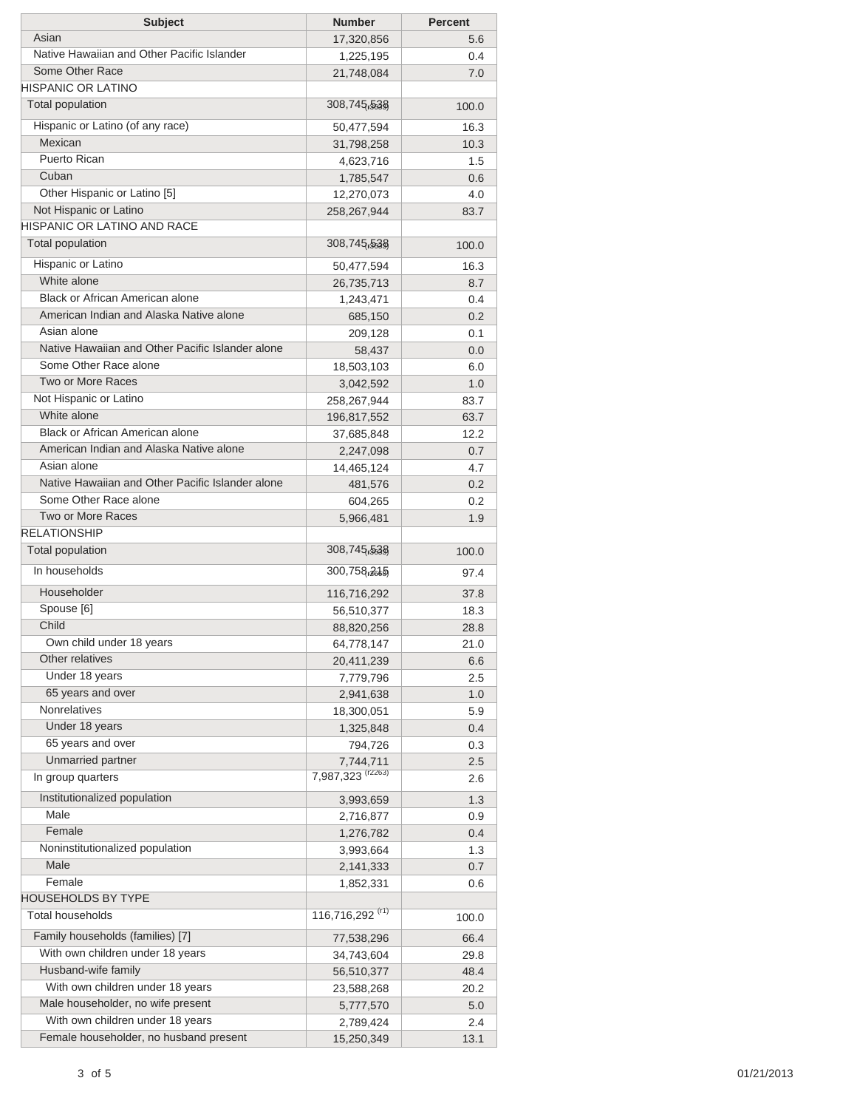| <b>Subject</b>                                                  | <b>Number</b>                | <b>Percent</b> |
|-----------------------------------------------------------------|------------------------------|----------------|
| Asian                                                           | 17,320,856                   | 5.6            |
| Native Hawaiian and Other Pacific Islander                      | 1,225,195                    | 0.4            |
| Some Other Race                                                 | 21,748,084                   | 7.0            |
| <b>HISPANIC OR LATINO</b>                                       |                              |                |
| <b>Total population</b>                                         | 308,745,538                  | 100.0          |
| Hispanic or Latino (of any race)                                | 50,477,594                   | 16.3           |
| Mexican                                                         | 31,798,258                   | 10.3           |
| Puerto Rican                                                    | 4,623,716                    | 1.5            |
| Cuban                                                           | 1,785,547                    | 0.6            |
| Other Hispanic or Latino [5]                                    | 12,270,073                   | 4.0            |
| Not Hispanic or Latino                                          | 258,267,944                  | 83.7           |
| <b>HISPANIC OR LATINO AND RACE</b>                              |                              |                |
| <b>Total population</b>                                         | 308,745,538                  | 100.0          |
| Hispanic or Latino                                              |                              |                |
| White alone                                                     | 50,477,594                   | 16.3           |
| Black or African American alone                                 | 26,735,713                   | 8.7            |
| American Indian and Alaska Native alone                         | 1,243,471                    | 0.4            |
| Asian alone                                                     | 685,150                      | 0.2            |
| Native Hawaiian and Other Pacific Islander alone                | 209,128                      | 0.1            |
| Some Other Race alone                                           | 58,437                       | 0.0            |
| Two or More Races                                               | 18,503,103                   | 6.0            |
| Not Hispanic or Latino                                          | 3,042,592                    | 1.0            |
| White alone                                                     | 258,267,944                  | 83.7           |
| Black or African American alone                                 | 196,817,552                  | 63.7           |
| American Indian and Alaska Native alone                         | 37,685,848                   | 12.2           |
|                                                                 | 2,247,098                    | 0.7            |
| Asian alone<br>Native Hawaiian and Other Pacific Islander alone | 14,465,124                   | 4.7            |
|                                                                 | 481,576                      | 0.2            |
| Some Other Race alone                                           | 604,265                      | 0.2            |
| Two or More Races<br><b>RELATIONSHIP</b>                        | 5,966,481                    | 1.9            |
|                                                                 |                              |                |
| <b>Total population</b>                                         | 308,745,538                  | 100.0          |
| In households                                                   | 300,758,265                  | 97.4           |
| Householder                                                     | 116,716,292                  | 37.8           |
| Spouse [6]                                                      | 56,510,377                   | 18.3           |
| Child                                                           | 88,820,256                   | 28.8           |
| Own child under 18 years                                        | 64,778,147                   | 21.0           |
| Other relatives                                                 | 20,411,239                   | 6.6            |
| Under 18 years                                                  | 7,779,796                    | 2.5            |
| 65 years and over                                               | 2,941,638                    | 1.0            |
| Nonrelatives                                                    | 18,300,051                   | 5.9            |
| Under 18 years                                                  | 1,325,848                    | 0.4            |
| 65 years and over                                               | 794,726                      | 0.3            |
| Unmarried partner                                               | 7,744,711                    | 2.5            |
| In group quarters                                               | 7,987,323 <sup>(r2263)</sup> | 2.6            |
| Institutionalized population                                    | 3,993,659                    | 1.3            |
| Male                                                            | 2,716,877                    | 0.9            |
| Female                                                          | 1,276,782                    | 0.4            |
| Noninstitutionalized population                                 | 3,993,664                    | 1.3            |
| Male                                                            | 2,141,333                    | 0.7            |
| Female                                                          | 1,852,331                    | 0.6            |
| <b>HOUSEHOLDS BY TYPE</b>                                       |                              |                |
| <b>Total households</b>                                         | 116,716,292 <sup>(r1)</sup>  | 100.0          |
| Family households (families) [7]                                |                              |                |
| With own children under 18 years                                | 77,538,296                   | 66.4           |
| Husband-wife family                                             | 34,743,604                   | 29.8           |
| With own children under 18 years                                | 56,510,377                   | 48.4           |
|                                                                 | 23,588,268                   | 20.2           |
| Male householder, no wife present                               | 5,777,570                    | 5.0            |
| With own children under 18 years                                | 2,789,424                    | 2.4            |
| Female householder, no husband present                          | 15,250,349                   | 13.1           |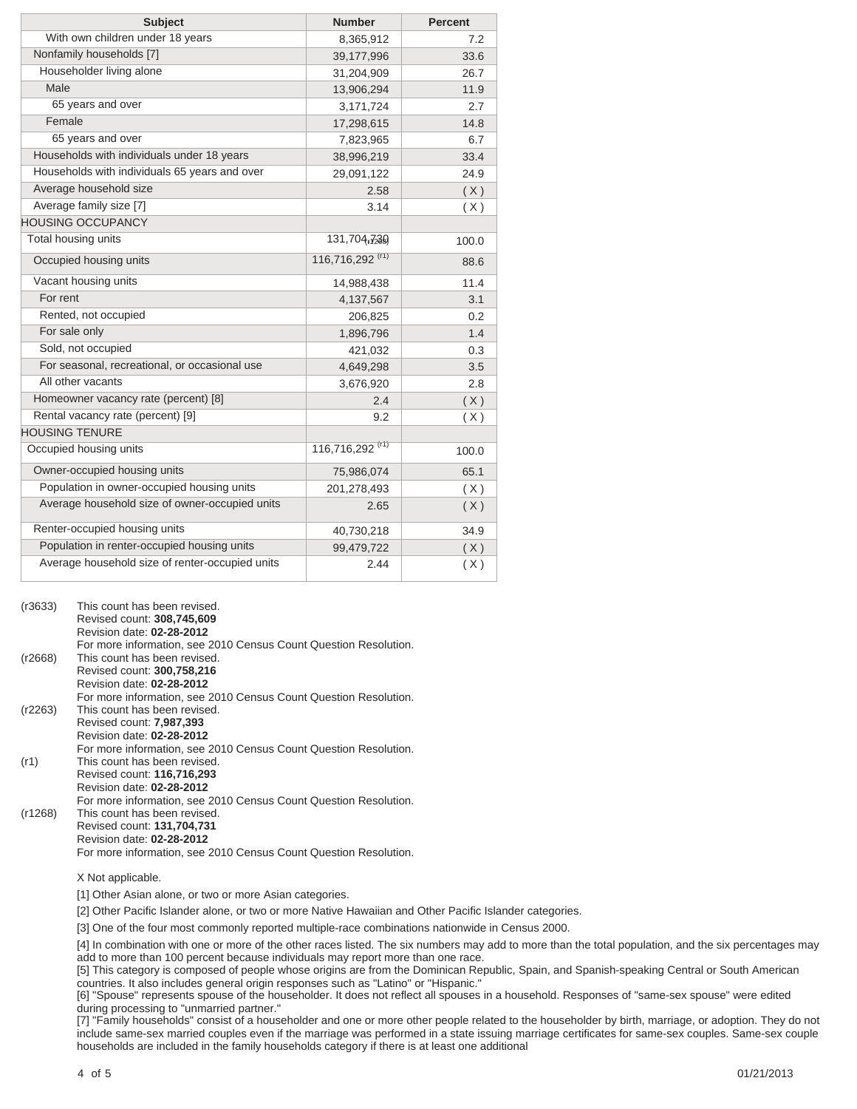| <b>Subject</b>                                  | <b>Number</b>               | <b>Percent</b> |
|-------------------------------------------------|-----------------------------|----------------|
| With own children under 18 years                | 8,365,912                   | 7.2            |
| Nonfamily households [7]                        | 39,177,996                  | 33.6           |
| Householder living alone                        | 31,204,909                  | 26.7           |
| Male                                            | 13,906,294                  | 11.9           |
| 65 years and over                               | 3,171,724                   | 2.7            |
| Female                                          | 17,298,615                  | 14.8           |
| 65 years and over                               | 7,823,965                   | 6.7            |
| Households with individuals under 18 years      | 38,996,219                  | 33.4           |
| Households with individuals 65 years and over   | 29,091,122                  | 24.9           |
| Average household size                          | 2.58                        | (X)            |
| Average family size [7]                         | 3.14                        | (X)            |
| <b>HOUSING OCCUPANCY</b>                        |                             |                |
| Total housing units                             | 131,704,730                 | 100.0          |
| Occupied housing units                          | 116,716,292 <sup>(r1)</sup> | 88.6           |
| Vacant housing units                            | 14,988,438                  | 11.4           |
| For rent                                        | 4,137,567                   | 3.1            |
| Rented, not occupied                            | 206,825                     | 0.2            |
| For sale only                                   | 1,896,796                   | 1.4            |
| Sold, not occupied                              | 421,032                     | 0.3            |
| For seasonal, recreational, or occasional use   | 4,649,298                   | 3.5            |
| All other vacants                               | 3,676,920                   | 2.8            |
| Homeowner vacancy rate (percent) [8]            | 2.4                         | (X)            |
| Rental vacancy rate (percent) [9]               | 9.2                         | (X)            |
| <b>HOUSING TENURE</b>                           |                             |                |
| Occupied housing units                          | 116,716,292 <sup>(r1)</sup> | 100.0          |
| Owner-occupied housing units                    | 75,986,074                  | 65.1           |
| Population in owner-occupied housing units      | 201,278,493                 | (X)            |
| Average household size of owner-occupied units  | 2.65                        | (X)            |
| Renter-occupied housing units                   | 40,730,218                  | 34.9           |
| Population in renter-occupied housing units     | 99,479,722                  | (X)            |
| Average household size of renter-occupied units | 2.44                        | (X)            |

| (r3633) | This count has been revised.<br>Revised count: 308,745,609<br>Revision date: 02-28-2012 |
|---------|-----------------------------------------------------------------------------------------|
|         | For more information, see 2010 Census Count Question Resolution.                        |
| (r2668) | This count has been revised.<br>Revised count: 300,758,216                              |
|         | Revision date: 02-28-2012                                                               |
|         | For more information, see 2010 Census Count Question Resolution.                        |
| (r2263) | This count has been revised.                                                            |
|         | Revised count: 7,987,393<br>Revision date: 02-28-2012                                   |
|         | For more information, see 2010 Census Count Question Resolution.                        |
| (r1)    | This count has been revised.                                                            |
|         | Revised count: 116,716,293<br>Revision date: 02-28-2012                                 |
|         | For more information, see 2010 Census Count Question Resolution.                        |
| (r1268) | This count has been revised.                                                            |
|         | Revised count: 131,704,731                                                              |
|         | Revision date: 02-28-2012                                                               |
|         | For more information, see 2010 Census Count Question Resolution.                        |

## X Not applicable.

[1] Other Asian alone, or two or more Asian categories.

[2] Other Pacific Islander alone, or two or more Native Hawaiian and Other Pacific Islander categories.

[3] One of the four most commonly reported multiple-race combinations nationwide in Census 2000.

[4] In combination with one or more of the other races listed. The six numbers may add to more than the total population, and the six percentages may add to more than 100 percent because individuals may report more than one race.

[5] This category is composed of people whose origins are from the Dominican Republic, Spain, and Spanish-speaking Central or South American countries. It also includes general origin responses such as "Latino" or "Hispanic."

[6] "Spouse" represents spouse of the householder. It does not reflect all spouses in a household. Responses of "same-sex spouse" were edited during processing to "unmarried partner."

[7] "Family households" consist of a householder and one or more other people related to the householder by birth, marriage, or adoption. They do not include same-sex married couples even if the marriage was performed in a state issuing marriage certificates for same-sex couples. Same-sex couple households are included in the family households category if there is at least one additional